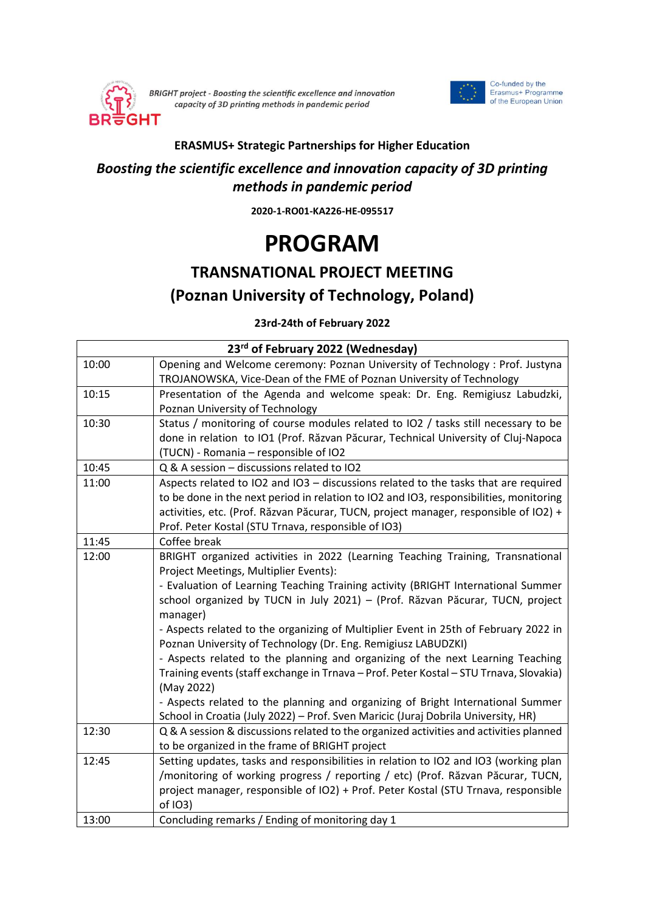

BRIGHT project - Boosting the scientific excellence and innovation capacity of 3D printing methods in pandemic period



## **ERASMUS+ Strategic Partnerships for Higher Education**

## *Boosting the scientific excellence and innovation capacity of 3D printing methods in pandemic period*

**2020-1-RO01-KA226-HE-095517**

## **PROGRAM**

## **TRANSNATIONAL PROJECT MEETING (Poznan University of Technology, Poland)**

**23rd-24th of February 2022**

| 23rd of February 2022 (Wednesday) |                                                                                                                                                                      |
|-----------------------------------|----------------------------------------------------------------------------------------------------------------------------------------------------------------------|
| 10:00                             | Opening and Welcome ceremony: Poznan University of Technology : Prof. Justyna                                                                                        |
|                                   | TROJANOWSKA, Vice-Dean of the FME of Poznan University of Technology                                                                                                 |
| 10:15                             | Presentation of the Agenda and welcome speak: Dr. Eng. Remigiusz Labudzki,                                                                                           |
|                                   | Poznan University of Technology                                                                                                                                      |
| 10:30                             | Status / monitoring of course modules related to IO2 / tasks still necessary to be                                                                                   |
|                                   | done in relation to IO1 (Prof. Răzvan Păcurar, Technical University of Cluj-Napoca                                                                                   |
|                                   | (TUCN) - Romania - responsible of IO2                                                                                                                                |
| 10:45                             | Q & A session - discussions related to IO2                                                                                                                           |
| 11:00                             | Aspects related to IO2 and IO3 - discussions related to the tasks that are required                                                                                  |
|                                   | to be done in the next period in relation to IO2 and IO3, responsibilities, monitoring                                                                               |
|                                   | activities, etc. (Prof. Răzvan Păcurar, TUCN, project manager, responsible of IO2) +                                                                                 |
|                                   | Prof. Peter Kostal (STU Trnava, responsible of IO3)                                                                                                                  |
| 11:45                             | Coffee break                                                                                                                                                         |
| 12:00                             | BRIGHT organized activities in 2022 (Learning Teaching Training, Transnational                                                                                       |
|                                   | Project Meetings, Multiplier Events):                                                                                                                                |
|                                   | - Evaluation of Learning Teaching Training activity (BRIGHT International Summer                                                                                     |
|                                   | school organized by TUCN in July 2021) - (Prof. Răzvan Păcurar, TUCN, project                                                                                        |
|                                   | manager)                                                                                                                                                             |
|                                   | - Aspects related to the organizing of Multiplier Event in 25th of February 2022 in                                                                                  |
|                                   | Poznan University of Technology (Dr. Eng. Remigiusz LABUDZKI)                                                                                                        |
|                                   | - Aspects related to the planning and organizing of the next Learning Teaching                                                                                       |
|                                   | Training events (staff exchange in Trnava - Prof. Peter Kostal - STU Trnava, Slovakia)                                                                               |
|                                   | (May 2022)                                                                                                                                                           |
|                                   | - Aspects related to the planning and organizing of Bright International Summer<br>School in Croatia (July 2022) - Prof. Sven Maricic (Juraj Dobrila University, HR) |
| 12:30                             | Q & A session & discussions related to the organized activities and activities planned                                                                               |
|                                   | to be organized in the frame of BRIGHT project                                                                                                                       |
| 12:45                             | Setting updates, tasks and responsibilities in relation to IO2 and IO3 (working plan                                                                                 |
|                                   | /monitoring of working progress / reporting / etc) (Prof. Răzvan Păcurar, TUCN,                                                                                      |
|                                   | project manager, responsible of IO2) + Prof. Peter Kostal (STU Trnava, responsible                                                                                   |
|                                   | of IO3)                                                                                                                                                              |
| 13:00                             | Concluding remarks / Ending of monitoring day 1                                                                                                                      |